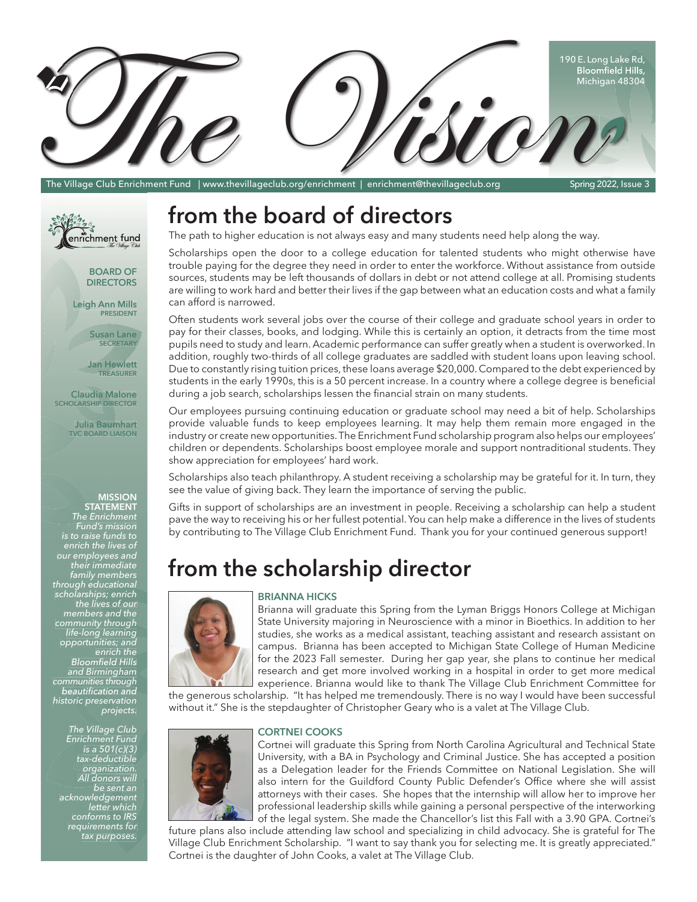

The Village Club Enrichment Fund | www.thevillageclub.org/enrichment | enrichment@thevillageclub.org Spring 2022, Issue 3



**DIRECTORS** 

Leigh Ann Mills<br>PRESIDENT

Susan Lane<br>SECRETARY

SECRETARY<br>Jan Hewlett<br>TREASURER TREASURER

Claudia Malone<br>SCHOLARSHIP DIRECTOR **Claudia Malone** 

Julia Baumhart a Baum TVC BOARD LIAISON TV

#### **MISSION MISSION**

**STATEMENT ST STATEMENT***The Enrichment Fund's mission is to raise funds to enrich the lives of our employees and their immediate family members through educational scholarships; enrich the lives of our members and the community through life-long learning opportunities; and enrich the*  Bloomfield Hills *and Birmingham communities through*  beautification and *historic preservation histor pre servation ric preserv projects. pro e Fund's is to to* enrich the lives of<br>*1r employees and immediate scholarships the liv f a thro learning opportunities; enrich e* Bloomfield Hil *and Birming throug d the gh +LOOV*gham<br>rough *cational ips; enrich ves ofou s* and t *he-long learning*<br>*fe-long learning<br>portunities; and<br>Bloomfield Hills<br>munities through<br>munities through The E of*

*The Village Club Enrichment Fund is a 501(c)(3) tax-deductible tax-deductible organization. All donors will s w be sent an acknowledgement letter which conforms to IRS requirements for tax purposes. purp All donors w*<br>*he sent i*<br>knowledgeme<br>letter whii<br>conforms to II<br>requirements f 501(c)(3)<br>eductible<br>anization. *ent gem r wh s IRS enterial fund is a 501(c)(3)*<br>tax-deductible<br>*organization.*<br>All donors will<br>be sent an<br>*knowledgement*<br>*letter which*<br>conforms to IRS<br>equirements for<br>tax purposes. *tax-de ct organizat All dono b organization.*

## from the board of directors

The path to higher education is not always easy and many students need help along the way.

Scholarships open the door to a college education for talented students who might otherwise have trouble paying for the degree they need in order to enter the workforce. Without assistance from outside sources, students may be left thousands of dollars in debt or not attend college at all. Promising students are willing to work hard and better their lives if the gap between what an education costs and what a family can afford is narrowed.

Often students work several jobs over the course of their college and graduate school years in order to pay for their classes, books, and lodging. While this is certainly an option, it detracts from the time most pupils need to study and learn. Academic performance can suffer greatly when a student is overworked. In addition, roughly two-thirds of all college graduates are saddled with student loans upon leaving school. Due to constantly rising tuition prices, these loans average \$20,000. Compared to the debt experienced by students in the early 1990s, this is a 50 percent increase. In a country where a college degree is beneficial during a job search, scholarships lessen the financial strain on many students.

Our employees pursuing continuing education or graduate school may need a bit of help. Scholarships provide valuable funds to keep employees learning. It may help them remain more engaged in the industry or create new opportunities. The Enrichment Fund scholarship program also helps our employees' children or dependents. Scholarships boost employee morale and support nontraditional students. They show appreciation for employees' hard work.

Scholarships also teach philanthropy. A student receiving a scholarship may be grateful for it. In turn, they see the value of giving back. They learn the importance of serving the public.

Gifts in support of scholarships are an investment in people. Receiving a scholarship can help a student pave the way to receiving his or her fullest potential. You can help make a difference in the lives of students by contributing to The Village Club Enrichment Fund. Thank you for your continued generous support!

# **from the scholarship director**





Brianna will graduate this Spring from the Lyman Briggs Honors College at Michigan State University majoring in Neuroscience with a minor in Bioethics. In addition to her studies, she works as a medical assistant, teaching assistant and research assistant on campus. Brianna has been accepted to Michigan State College of Human Medicine for the 2023 Fall semester. During her gap year, she plans to continue her medical research and get more involved working in a hospital in order to get more medical experience. Brianna would like to thank The Village Club Enrichment Committee for

the generous scholarship. "It has helped me tremendously. There is no way I would have been successful without it." She is the stepdaughter of Christopher Geary who is a valet at The Village Club.

#### **CORTNEI COOKS**



Cortnei will graduate this Spring from North Carolina Agricultural and Technical State University, with a BA in Psychology and Criminal Justice. She has accepted a position as a Delegation leader for the Friends Committee on National Legislation. She will also intern for the Guildford County Public Defender's Office where she will assist attorneys with their cases. She hopes that the internship will allow her to improve her professional leadership skills while gaining a personal perspective of the interworking of the legal system. She made the Chancellor's list this Fall with a 3.90 GPA. Cortnei's

future plans also include attending law school and specializing in child advocacy. She is grateful for The Village Club Enrichment Scholarship. "I want to say thank you for selecting me. It is greatly appreciated." Cortnei is the daughter of John Cooks, a valet at The Village Club.